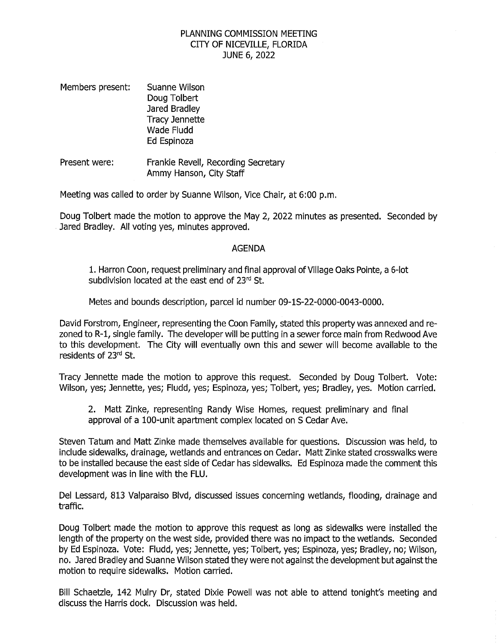## PLANNING COMMISSION MEETING CITY OF NICEVILLE, FLORIDA JUNE 6, <sup>2022</sup>

- Members present: Suanne Wilson Doug Tolbert Jared Bradley Tracy Jennette Wade Fludd Ed Espinoza
- Frankie Revell, Recording Secretary Ammy Hanson, City Staff Present were:

Meeting was called to order by Suanne Wilson, Vice Chair, at 6:00 p.m.

Doug Tolbert made the motion to approve the May 2, <sup>2022</sup> minutes as presented. Seconded by Jared Bradley. All voting yes, minutes approved.

## AGENDA

1. Harron Coon, request preliminary and final approval of Village Oaks Pointe, a 6-lot subdivision located at the east end of 23rd St.

Metes and bounds description, parcel id number 09-1S-22-0000-0043-0000.

David Forstrom, Engineer, representing the Coon Family, stated this property was annexed and re-<br>zoned to R-1, single family. The developer will be putting in a sewer force main from Redwood Ave<br>to this development. The Ci to this development. The City will eventually own this and sewer will become available to the residents of <sup>23</sup>rd St.

Tracy Jennette made the motion to approve this request. Seconded by Doug Tolbert. Vote: Wilson, yes; Jennette, yes; Fludd, yes; Espinoza, yes; Tolbert, yes; Bradley, yes. Motion carried.

2. Matt Zinke, representing Randy Wise Homes, request preliminary and final approval of <sup>a</sup> 100-unit apartment complex located on <sup>S</sup> Cedar Ave.

Steven Tatum and Matt Zinke made themselves available for questions. Discussion was held, to include sidewalks, drainage, wetlands and entrances on Cedar. Matt Zinke stated crosswalks were to be installed because the east side of Cedar has sidewalks. Ed Espinoza made the comment this development was in line with the FLU.

Del Lessard, 813 Valparaiso Blvd, discussed issues concerning wetlands, flooding, drainage and traffic.

Doug Tolbert made the motion to approve this request as long as sidewalks were installed the length of the property on the west side, provided there was no impact to the wetlands. Seconded by Ed Espinoza. Vote: Fludd, yes; Jennette, yes; Tolbert, yes; Espinoza, yes; Bradley, no; Wilson, no. Jared Bradley and Suanne Wilson stated they were not against the development but against the motion to require sidewalks. Motion carried.

Bill Schaetzle, <sup>142</sup> Mulry Dr, stated Dixie Powell was not able to attend tonight's meeting and discuss the Harris dock. Discussion was held.